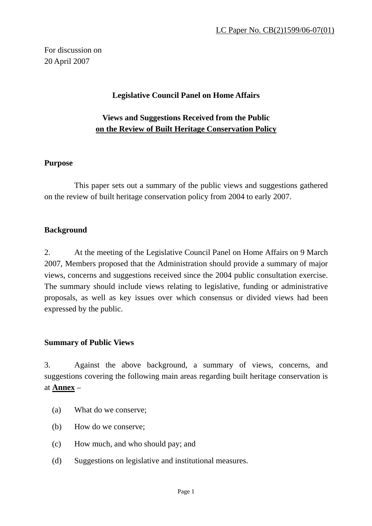For discussion on 20 April 2007

## **Legislative Council Panel on Home Affairs**

# **Views and Suggestions Received from the Public on the Review of Built Heritage Conservation Policy**

#### **Purpose**

This paper sets out a summary of the public views and suggestions gathered on the review of built heritage conservation policy from 2004 to early 2007.

#### **Background**

2. At the meeting of the Legislative Council Panel on Home Affairs on 9 March 2007, Members proposed that the Administration should provide a summary of major views, concerns and suggestions received since the 2004 public consultation exercise. The summary should include views relating to legislative, funding or administrative proposals, as well as key issues over which consensus or divided views had been expressed by the public.

#### **Summary of Public Views**

3. Against the above background, a summary of views, concerns, and suggestions covering the following main areas regarding built heritage conservation is at **Annex** –

- (a) What do we conserve;
- (b) How do we conserve;
- (c) How much, and who should pay; and
- (d) Suggestions on legislative and institutional measures.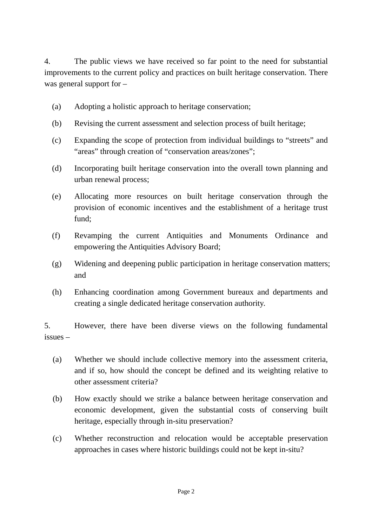4. The public views we have received so far point to the need for substantial improvements to the current policy and practices on built heritage conservation. There was general support for –

- (a) Adopting a holistic approach to heritage conservation;
- (b) Revising the current assessment and selection process of built heritage;
- (c) Expanding the scope of protection from individual buildings to "streets" and "areas" through creation of "conservation areas/zones";
- (d) Incorporating built heritage conservation into the overall town planning and urban renewal process;
- (e) Allocating more resources on built heritage conservation through the provision of economic incentives and the establishment of a heritage trust fund;
- (f) Revamping the current Antiquities and Monuments Ordinance and empowering the Antiquities Advisory Board;
- (g) Widening and deepening public participation in heritage conservation matters; and
- (h) Enhancing coordination among Government bureaux and departments and creating a single dedicated heritage conservation authority.

5. However, there have been diverse views on the following fundamental issues –

- (a) Whether we should include collective memory into the assessment criteria, and if so, how should the concept be defined and its weighting relative to other assessment criteria?
- (b) How exactly should we strike a balance between heritage conservation and economic development, given the substantial costs of conserving built heritage, especially through in-situ preservation?
- (c) Whether reconstruction and relocation would be acceptable preservation approaches in cases where historic buildings could not be kept in-situ?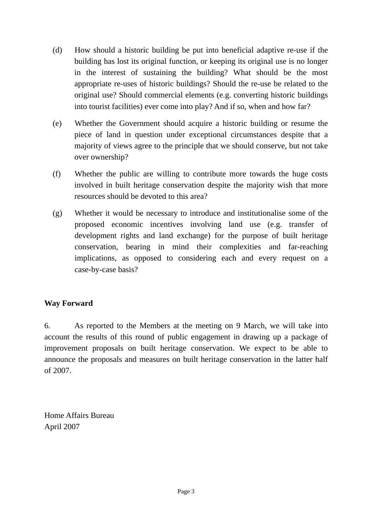- (d) How should a historic building be put into beneficial adaptive re-use if the building has lost its original function, or keeping its original use is no longer in the interest of sustaining the building? What should be the most appropriate re-uses of historic buildings? Should the re-use be related to the original use? Should commercial elements (e.g. converting historic buildings into tourist facilities) ever come into play? And if so, when and how far?
- (e) Whether the Government should acquire a historic building or resume the piece of land in question under exceptional circumstances despite that a majority of views agree to the principle that we should conserve, but not take over ownership?
- (f) Whether the public are willing to contribute more towards the huge costs involved in built heritage conservation despite the majority wish that more resources should be devoted to this area?
- (g) Whether it would be necessary to introduce and institutionalise some of the proposed economic incentives involving land use (e.g. transfer of development rights and land exchange) for the purpose of built heritage conservation, bearing in mind their complexities and far-reaching implications, as opposed to considering each and every request on a case-by-case basis?

## **Way Forward**

6. As reported to the Members at the meeting on 9 March, we will take into account the results of this round of public engagement in drawing up a package of improvement proposals on built heritage conservation. We expect to be able to announce the proposals and measures on built heritage conservation in the latter half of 2007.

Home Affairs Bureau April 2007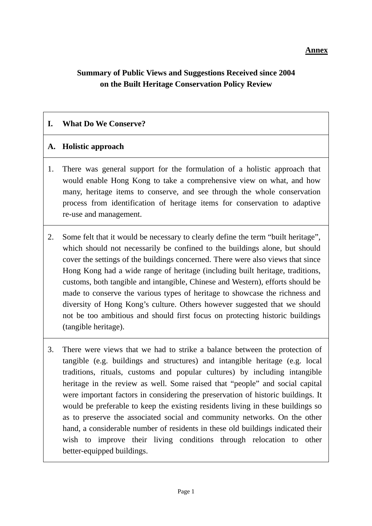#### **Annex**

# **Summary of Public Views and Suggestions Received since 2004 on the Built Heritage Conservation Policy Review**

#### **I. What Do We Conserve?**

#### **A. Holistic approach**

- 1. There was general support for the formulation of a holistic approach that would enable Hong Kong to take a comprehensive view on what, and how many, heritage items to conserve, and see through the whole conservation process from identification of heritage items for conservation to adaptive re-use and management.
- 2. Some felt that it would be necessary to clearly define the term "built heritage", which should not necessarily be confined to the buildings alone, but should cover the settings of the buildings concerned. There were also views that since Hong Kong had a wide range of heritage (including built heritage, traditions, customs, both tangible and intangible, Chinese and Western), efforts should be made to conserve the various types of heritage to showcase the richness and diversity of Hong Kong's culture. Others however suggested that we should not be too ambitious and should first focus on protecting historic buildings (tangible heritage).
- 3. There were views that we had to strike a balance between the protection of tangible (e.g. buildings and structures) and intangible heritage (e.g. local traditions, rituals, customs and popular cultures) by including intangible heritage in the review as well. Some raised that "people" and social capital were important factors in considering the preservation of historic buildings. It would be preferable to keep the existing residents living in these buildings so as to preserve the associated social and community networks. On the other hand, a considerable number of residents in these old buildings indicated their wish to improve their living conditions through relocation to other better-equipped buildings.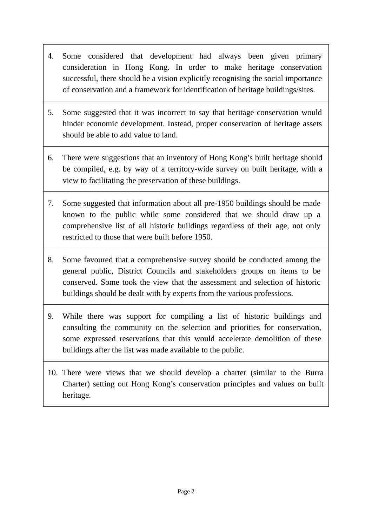- 4. Some considered that development had always been given primary consideration in Hong Kong. In order to make heritage conservation successful, there should be a vision explicitly recognising the social importance of conservation and a framework for identification of heritage buildings/sites.
- 5. Some suggested that it was incorrect to say that heritage conservation would hinder economic development. Instead, proper conservation of heritage assets should be able to add value to land.
- 6. There were suggestions that an inventory of Hong Kong's built heritage should be compiled, e.g. by way of a territory-wide survey on built heritage, with a view to facilitating the preservation of these buildings.
- 7. Some suggested that information about all pre-1950 buildings should be made known to the public while some considered that we should draw up a comprehensive list of all historic buildings regardless of their age, not only restricted to those that were built before 1950.
- 8. Some favoured that a comprehensive survey should be conducted among the general public, District Councils and stakeholders groups on items to be conserved. Some took the view that the assessment and selection of historic buildings should be dealt with by experts from the various professions.
- 9. While there was support for compiling a list of historic buildings and consulting the community on the selection and priorities for conservation, some expressed reservations that this would accelerate demolition of these buildings after the list was made available to the public.
- 10. There were views that we should develop a charter (similar to the Burra Charter) setting out Hong Kong's conservation principles and values on built heritage.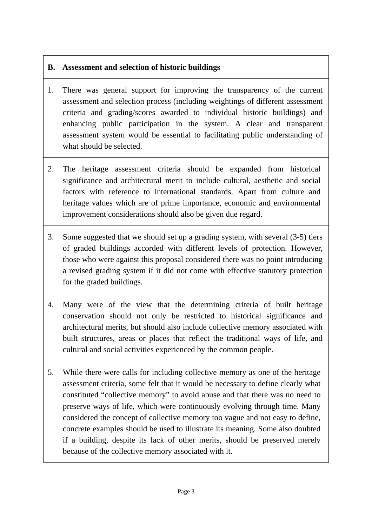# **B. Assessment and selection of historic buildings**

- 1. There was general support for improving the transparency of the current assessment and selection process (including weightings of different assessment criteria and grading/scores awarded to individual historic buildings) and enhancing public participation in the system. A clear and transparent assessment system would be essential to facilitating public understanding of what should be selected.
- 2. The heritage assessment criteria should be expanded from historical significance and architectural merit to include cultural, aesthetic and social factors with reference to international standards. Apart from culture and heritage values which are of prime importance, economic and environmental improvement considerations should also be given due regard.
- 3. Some suggested that we should set up a grading system, with several (3-5) tiers of graded buildings accorded with different levels of protection. However, those who were against this proposal considered there was no point introducing a revised grading system if it did not come with effective statutory protection for the graded buildings.
- 4. Many were of the view that the determining criteria of built heritage conservation should not only be restricted to historical significance and architectural merits, but should also include collective memory associated with built structures, areas or places that reflect the traditional ways of life, and cultural and social activities experienced by the common people.
- 5. While there were calls for including collective memory as one of the heritage assessment criteria, some felt that it would be necessary to define clearly what constituted "collective memory" to avoid abuse and that there was no need to preserve ways of life, which were continuously evolving through time. Many considered the concept of collective memory too vague and not easy to define, concrete examples should be used to illustrate its meaning. Some also doubted if a building, despite its lack of other merits, should be preserved merely because of the collective memory associated with it.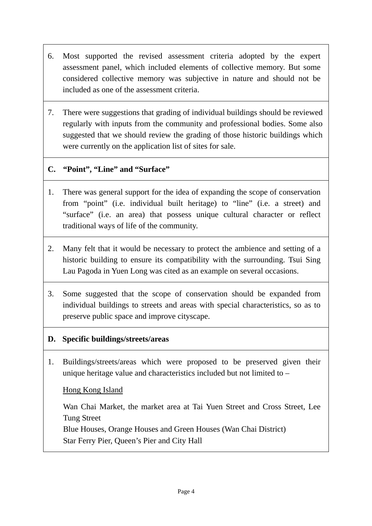- 6. Most supported the revised assessment criteria adopted by the expert assessment panel, which included elements of collective memory. But some considered collective memory was subjective in nature and should not be included as one of the assessment criteria.
- 7. There were suggestions that grading of individual buildings should be reviewed regularly with inputs from the community and professional bodies. Some also suggested that we should review the grading of those historic buildings which were currently on the application list of sites for sale.

#### **C. "Point", "Line" and "Surface"**

- 1. There was general support for the idea of expanding the scope of conservation from "point" (i.e. individual built heritage) to "line" (i.e. a street) and "surface" (i.e. an area) that possess unique cultural character or reflect traditional ways of life of the community.
- 2. Many felt that it would be necessary to protect the ambience and setting of a historic building to ensure its compatibility with the surrounding. Tsui Sing Lau Pagoda in Yuen Long was cited as an example on several occasions.
- 3. Some suggested that the scope of conservation should be expanded from individual buildings to streets and areas with special characteristics, so as to preserve public space and improve cityscape.

#### **D. Specific buildings/streets/areas**

1. Buildings/streets/areas which were proposed to be preserved given their unique heritage value and characteristics included but not limited to –

Hong Kong Island

Wan Chai Market, the market area at Tai Yuen Street and Cross Street, Lee Tung Street Blue Houses, Orange Houses and Green Houses (Wan Chai District) Star Ferry Pier, Queen's Pier and City Hall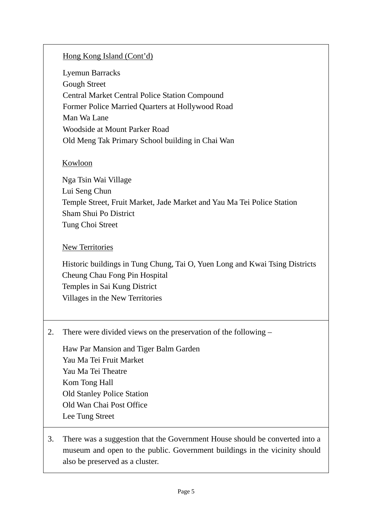# Hong Kong Island (Cont'd)

Lyemun Barracks Gough Street Central Market Central Police Station Compound Former Police Married Quarters at Hollywood Road Man Wa Lane Woodside at Mount Parker Road Old Meng Tak Primary School building in Chai Wan

## Kowloon

Nga Tsin Wai Village Lui Seng Chun Temple Street, Fruit Market, Jade Market and Yau Ma Tei Police Station Sham Shui Po District Tung Choi Street

## New Territories

Historic buildings in Tung Chung, Tai O, Yuen Long and Kwai Tsing Districts Cheung Chau Fong Pin Hospital Temples in Sai Kung District Villages in the New Territories

2. There were divided views on the preservation of the following –

Haw Par Mansion and Tiger Balm Garden Yau Ma Tei Fruit Market Yau Ma Tei Theatre Kom Tong Hall Old Stanley Police Station Old Wan Chai Post Office Lee Tung Street

3. There was a suggestion that the Government House should be converted into a museum and open to the public. Government buildings in the vicinity should also be preserved as a cluster.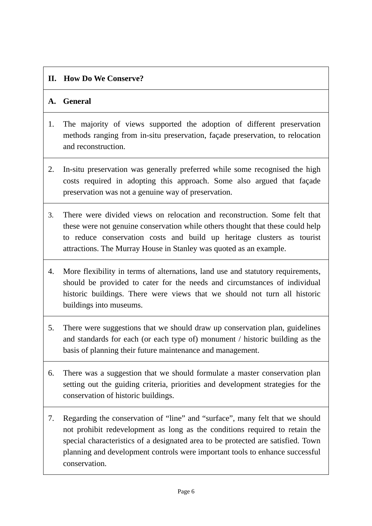# **II. How Do We Conserve?**

# **A. General**

- 1. The majority of views supported the adoption of different preservation methods ranging from in-situ preservation, façade preservation, to relocation and reconstruction.
- 2. In-situ preservation was generally preferred while some recognised the high costs required in adopting this approach. Some also argued that façade preservation was not a genuine way of preservation.
- 3. There were divided views on relocation and reconstruction. Some felt that these were not genuine conservation while others thought that these could help to reduce conservation costs and build up heritage clusters as tourist attractions. The Murray House in Stanley was quoted as an example.
- 4. More flexibility in terms of alternations, land use and statutory requirements, should be provided to cater for the needs and circumstances of individual historic buildings. There were views that we should not turn all historic buildings into museums.
- 5. There were suggestions that we should draw up conservation plan, guidelines and standards for each (or each type of) monument / historic building as the basis of planning their future maintenance and management.
- 6. There was a suggestion that we should formulate a master conservation plan setting out the guiding criteria, priorities and development strategies for the conservation of historic buildings.
- 7. Regarding the conservation of "line" and "surface", many felt that we should not prohibit redevelopment as long as the conditions required to retain the special characteristics of a designated area to be protected are satisfied. Town planning and development controls were important tools to enhance successful conservation.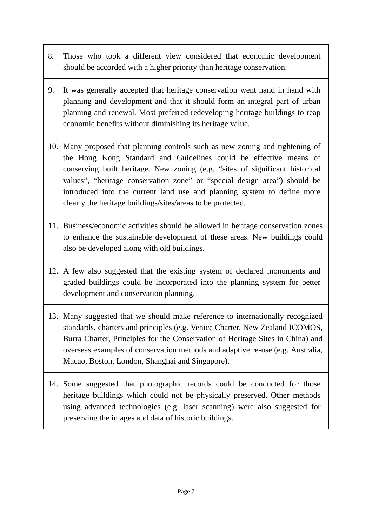- 8. Those who took a different view considered that economic development should be accorded with a higher priority than heritage conservation.
- 9. It was generally accepted that heritage conservation went hand in hand with planning and development and that it should form an integral part of urban planning and renewal. Most preferred redeveloping heritage buildings to reap economic benefits without diminishing its heritage value.
- 10. Many proposed that planning controls such as new zoning and tightening of the Hong Kong Standard and Guidelines could be effective means of conserving built heritage. New zoning (e.g. "sites of significant historical values", "heritage conservation zone" or "special design area") should be introduced into the current land use and planning system to define more clearly the heritage buildings/sites/areas to be protected.
- 11. Business/economic activities should be allowed in heritage conservation zones to enhance the sustainable development of these areas. New buildings could also be developed along with old buildings.
- 12. A few also suggested that the existing system of declared monuments and graded buildings could be incorporated into the planning system for better development and conservation planning.
- 13. Many suggested that we should make reference to internationally recognized standards, charters and principles (e.g. Venice Charter, New Zealand ICOMOS, Burra Charter, Principles for the Conservation of Heritage Sites in China) and overseas examples of conservation methods and adaptive re-use (e.g. Australia, Macao, Boston, London, Shanghai and Singapore).
- 14. Some suggested that photographic records could be conducted for those heritage buildings which could not be physically preserved. Other methods using advanced technologies (e.g. laser scanning) were also suggested for preserving the images and data of historic buildings.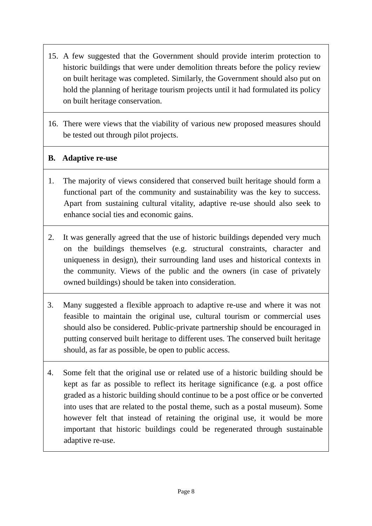- 15. A few suggested that the Government should provide interim protection to historic buildings that were under demolition threats before the policy review on built heritage was completed. Similarly, the Government should also put on hold the planning of heritage tourism projects until it had formulated its policy on built heritage conservation.
- 16. There were views that the viability of various new proposed measures should be tested out through pilot projects.

## **B. Adaptive re-use**

- 1. The majority of views considered that conserved built heritage should form a functional part of the community and sustainability was the key to success. Apart from sustaining cultural vitality, adaptive re-use should also seek to enhance social ties and economic gains.
- 2. It was generally agreed that the use of historic buildings depended very much on the buildings themselves (e.g. structural constraints, character and uniqueness in design), their surrounding land uses and historical contexts in the community. Views of the public and the owners (in case of privately owned buildings) should be taken into consideration.
- 3. Many suggested a flexible approach to adaptive re-use and where it was not feasible to maintain the original use, cultural tourism or commercial uses should also be considered. Public-private partnership should be encouraged in putting conserved built heritage to different uses. The conserved built heritage should, as far as possible, be open to public access.
- 4. Some felt that the original use or related use of a historic building should be kept as far as possible to reflect its heritage significance (e.g. a post office graded as a historic building should continue to be a post office or be converted into uses that are related to the postal theme, such as a postal museum). Some however felt that instead of retaining the original use, it would be more important that historic buildings could be regenerated through sustainable adaptive re-use.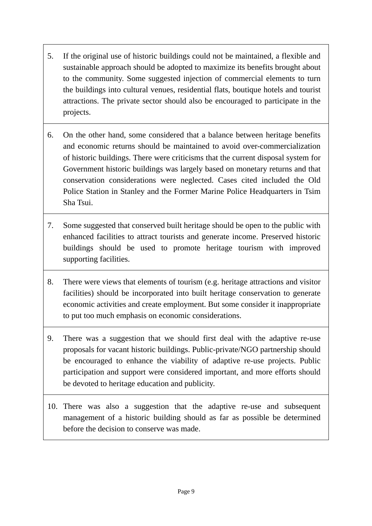- 5. If the original use of historic buildings could not be maintained, a flexible and sustainable approach should be adopted to maximize its benefits brought about to the community. Some suggested injection of commercial elements to turn the buildings into cultural venues, residential flats, boutique hotels and tourist attractions. The private sector should also be encouraged to participate in the projects.
- 6. On the other hand, some considered that a balance between heritage benefits and economic returns should be maintained to avoid over-commercialization of historic buildings. There were criticisms that the current disposal system for Government historic buildings was largely based on monetary returns and that conservation considerations were neglected. Cases cited included the Old Police Station in Stanley and the Former Marine Police Headquarters in Tsim Sha Tsui.
- 7. Some suggested that conserved built heritage should be open to the public with enhanced facilities to attract tourists and generate income. Preserved historic buildings should be used to promote heritage tourism with improved supporting facilities.
- 8. There were views that elements of tourism (e.g. heritage attractions and visitor facilities) should be incorporated into built heritage conservation to generate economic activities and create employment. But some consider it inappropriate to put too much emphasis on economic considerations.
- 9. There was a suggestion that we should first deal with the adaptive re-use proposals for vacant historic buildings. Public-private/NGO partnership should be encouraged to enhance the viability of adaptive re-use projects. Public participation and support were considered important, and more efforts should be devoted to heritage education and publicity.
- 10. There was also a suggestion that the adaptive re-use and subsequent management of a historic building should as far as possible be determined before the decision to conserve was made.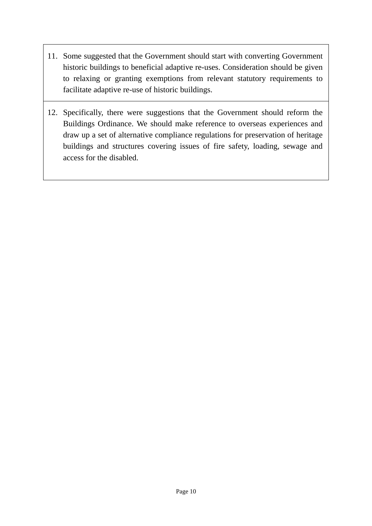- 11. Some suggested that the Government should start with converting Government historic buildings to beneficial adaptive re-uses. Consideration should be given to relaxing or granting exemptions from relevant statutory requirements to facilitate adaptive re-use of historic buildings.
- 12. Specifically, there were suggestions that the Government should reform the Buildings Ordinance. We should make reference to overseas experiences and draw up a set of alternative compliance regulations for preservation of heritage buildings and structures covering issues of fire safety, loading, sewage and access for the disabled.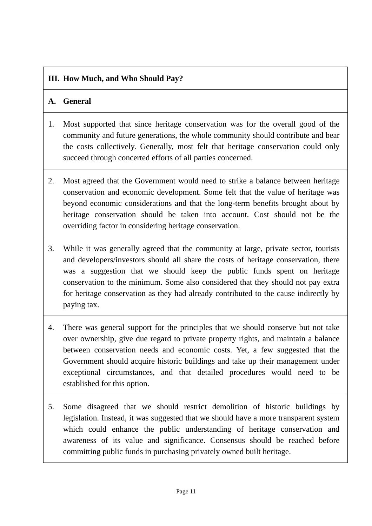# **III. How Much, and Who Should Pay?**

# **A. General**

- 1. Most supported that since heritage conservation was for the overall good of the community and future generations, the whole community should contribute and bear the costs collectively. Generally, most felt that heritage conservation could only succeed through concerted efforts of all parties concerned.
- 2. Most agreed that the Government would need to strike a balance between heritage conservation and economic development. Some felt that the value of heritage was beyond economic considerations and that the long-term benefits brought about by heritage conservation should be taken into account. Cost should not be the overriding factor in considering heritage conservation.
- 3. While it was generally agreed that the community at large, private sector, tourists and developers/investors should all share the costs of heritage conservation, there was a suggestion that we should keep the public funds spent on heritage conservation to the minimum. Some also considered that they should not pay extra for heritage conservation as they had already contributed to the cause indirectly by paying tax.
- 4. There was general support for the principles that we should conserve but not take over ownership, give due regard to private property rights, and maintain a balance between conservation needs and economic costs. Yet, a few suggested that the Government should acquire historic buildings and take up their management under exceptional circumstances, and that detailed procedures would need to be established for this option.
- 5. Some disagreed that we should restrict demolition of historic buildings by legislation. Instead, it was suggested that we should have a more transparent system which could enhance the public understanding of heritage conservation and awareness of its value and significance. Consensus should be reached before committing public funds in purchasing privately owned built heritage.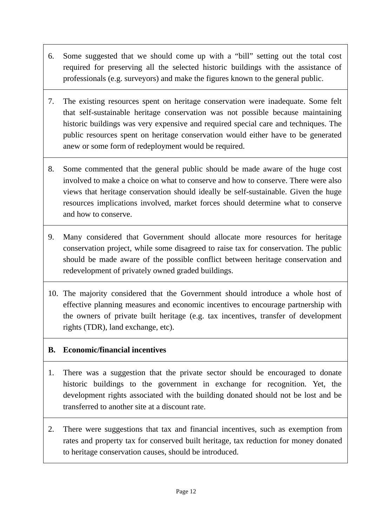- 6. Some suggested that we should come up with a "bill" setting out the total cost required for preserving all the selected historic buildings with the assistance of professionals (e.g. surveyors) and make the figures known to the general public.
- 7. The existing resources spent on heritage conservation were inadequate. Some felt that self-sustainable heritage conservation was not possible because maintaining historic buildings was very expensive and required special care and techniques. The public resources spent on heritage conservation would either have to be generated anew or some form of redeployment would be required.
- 8. Some commented that the general public should be made aware of the huge cost involved to make a choice on what to conserve and how to conserve. There were also views that heritage conservation should ideally be self-sustainable. Given the huge resources implications involved, market forces should determine what to conserve and how to conserve.
- 9. Many considered that Government should allocate more resources for heritage conservation project, while some disagreed to raise tax for conservation. The public should be made aware of the possible conflict between heritage conservation and redevelopment of privately owned graded buildings.
- 10. The majority considered that the Government should introduce a whole host of effective planning measures and economic incentives to encourage partnership with the owners of private built heritage (e.g. tax incentives, transfer of development rights (TDR), land exchange, etc).

## **B. Economic/financial incentives**

- 1. There was a suggestion that the private sector should be encouraged to donate historic buildings to the government in exchange for recognition. Yet, the development rights associated with the building donated should not be lost and be transferred to another site at a discount rate.
- 2. There were suggestions that tax and financial incentives, such as exemption from rates and property tax for conserved built heritage, tax reduction for money donated to heritage conservation causes, should be introduced.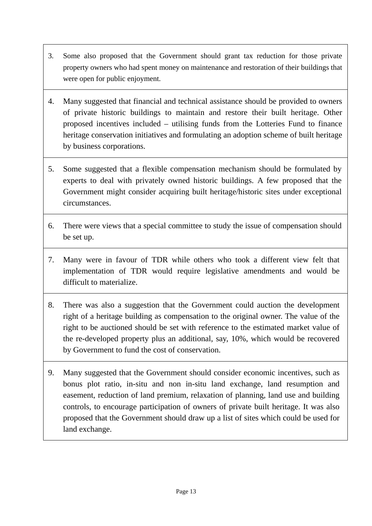- 3. Some also proposed that the Government should grant tax reduction for those private property owners who had spent money on maintenance and restoration of their buildings that were open for public enjoyment.
- 4. Many suggested that financial and technical assistance should be provided to owners of private historic buildings to maintain and restore their built heritage. Other proposed incentives included – utilising funds from the Lotteries Fund to finance heritage conservation initiatives and formulating an adoption scheme of built heritage by business corporations.
- 5. Some suggested that a flexible compensation mechanism should be formulated by experts to deal with privately owned historic buildings. A few proposed that the Government might consider acquiring built heritage/historic sites under exceptional circumstances.
- 6. There were views that a special committee to study the issue of compensation should be set up.
- 7. Many were in favour of TDR while others who took a different view felt that implementation of TDR would require legislative amendments and would be difficult to materialize.
- 8. There was also a suggestion that the Government could auction the development right of a heritage building as compensation to the original owner. The value of the right to be auctioned should be set with reference to the estimated market value of the re-developed property plus an additional, say, 10%, which would be recovered by Government to fund the cost of conservation.
- 9. Many suggested that the Government should consider economic incentives, such as bonus plot ratio, in-situ and non in-situ land exchange, land resumption and easement, reduction of land premium, relaxation of planning, land use and building controls, to encourage participation of owners of private built heritage. It was also proposed that the Government should draw up a list of sites which could be used for land exchange.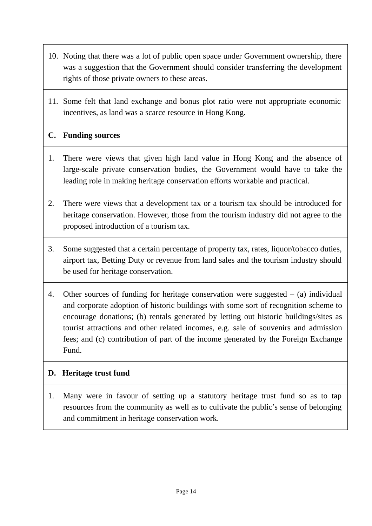- 10. Noting that there was a lot of public open space under Government ownership, there was a suggestion that the Government should consider transferring the development rights of those private owners to these areas.
- 11. Some felt that land exchange and bonus plot ratio were not appropriate economic incentives, as land was a scarce resource in Hong Kong.

# **C. Funding sources**

- 1. There were views that given high land value in Hong Kong and the absence of large-scale private conservation bodies, the Government would have to take the leading role in making heritage conservation efforts workable and practical.
- 2. There were views that a development tax or a tourism tax should be introduced for heritage conservation. However, those from the tourism industry did not agree to the proposed introduction of a tourism tax.
- 3. Some suggested that a certain percentage of property tax, rates, liquor/tobacco duties, airport tax, Betting Duty or revenue from land sales and the tourism industry should be used for heritage conservation.
- 4. Other sources of funding for heritage conservation were suggested (a) individual and corporate adoption of historic buildings with some sort of recognition scheme to encourage donations; (b) rentals generated by letting out historic buildings/sites as tourist attractions and other related incomes, e.g. sale of souvenirs and admission fees; and (c) contribution of part of the income generated by the Foreign Exchange Fund.

## **D. Heritage trust fund**

1. Many were in favour of setting up a statutory heritage trust fund so as to tap resources from the community as well as to cultivate the public's sense of belonging and commitment in heritage conservation work.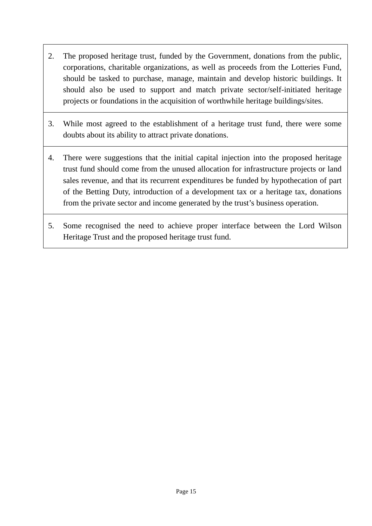- 2. The proposed heritage trust, funded by the Government, donations from the public, corporations, charitable organizations, as well as proceeds from the Lotteries Fund, should be tasked to purchase, manage, maintain and develop historic buildings. It should also be used to support and match private sector/self-initiated heritage projects or foundations in the acquisition of worthwhile heritage buildings/sites.
- 3. While most agreed to the establishment of a heritage trust fund, there were some doubts about its ability to attract private donations.
- 4. There were suggestions that the initial capital injection into the proposed heritage trust fund should come from the unused allocation for infrastructure projects or land sales revenue, and that its recurrent expenditures be funded by hypothecation of part of the Betting Duty, introduction of a development tax or a heritage tax, donations from the private sector and income generated by the trust's business operation.
- 5. Some recognised the need to achieve proper interface between the Lord Wilson Heritage Trust and the proposed heritage trust fund.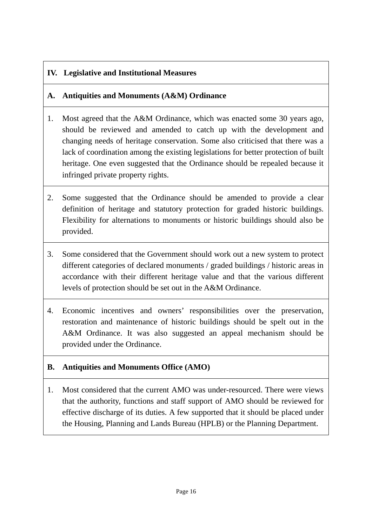# **IV. Legislative and Institutional Measures**

# **A. Antiquities and Monuments (A&M) Ordinance**

- 1. Most agreed that the A&M Ordinance, which was enacted some 30 years ago, should be reviewed and amended to catch up with the development and changing needs of heritage conservation. Some also criticised that there was a lack of coordination among the existing legislations for better protection of built heritage. One even suggested that the Ordinance should be repealed because it infringed private property rights.
- 2. Some suggested that the Ordinance should be amended to provide a clear definition of heritage and statutory protection for graded historic buildings. Flexibility for alternations to monuments or historic buildings should also be provided.
- 3. Some considered that the Government should work out a new system to protect different categories of declared monuments / graded buildings / historic areas in accordance with their different heritage value and that the various different levels of protection should be set out in the A&M Ordinance.
- 4. Economic incentives and owners' responsibilities over the preservation, restoration and maintenance of historic buildings should be spelt out in the A&M Ordinance. It was also suggested an appeal mechanism should be provided under the Ordinance.

## **B. Antiquities and Monuments Office (AMO)**

1. Most considered that the current AMO was under-resourced. There were views that the authority, functions and staff support of AMO should be reviewed for effective discharge of its duties. A few supported that it should be placed under the Housing, Planning and Lands Bureau (HPLB) or the Planning Department.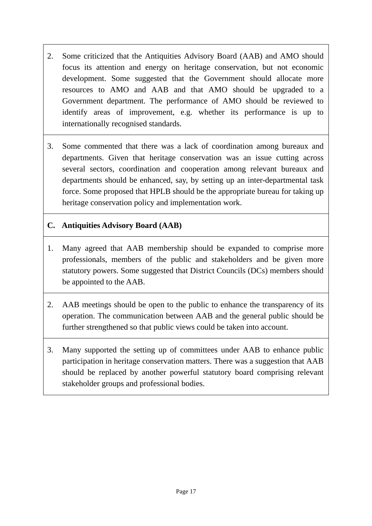- 2. Some criticized that the Antiquities Advisory Board (AAB) and AMO should focus its attention and energy on heritage conservation, but not economic development. Some suggested that the Government should allocate more resources to AMO and AAB and that AMO should be upgraded to a Government department. The performance of AMO should be reviewed to identify areas of improvement, e.g. whether its performance is up to internationally recognised standards.
- 3. Some commented that there was a lack of coordination among bureaux and departments. Given that heritage conservation was an issue cutting across several sectors, coordination and cooperation among relevant bureaux and departments should be enhanced, say, by setting up an inter-departmental task force. Some proposed that HPLB should be the appropriate bureau for taking up heritage conservation policy and implementation work.

## **C. Antiquities Advisory Board (AAB)**

- 1. Many agreed that AAB membership should be expanded to comprise more professionals, members of the public and stakeholders and be given more statutory powers. Some suggested that District Councils (DCs) members should be appointed to the AAB.
- 2. AAB meetings should be open to the public to enhance the transparency of its operation. The communication between AAB and the general public should be further strengthened so that public views could be taken into account.
- 3. Many supported the setting up of committees under AAB to enhance public participation in heritage conservation matters. There was a suggestion that AAB should be replaced by another powerful statutory board comprising relevant stakeholder groups and professional bodies.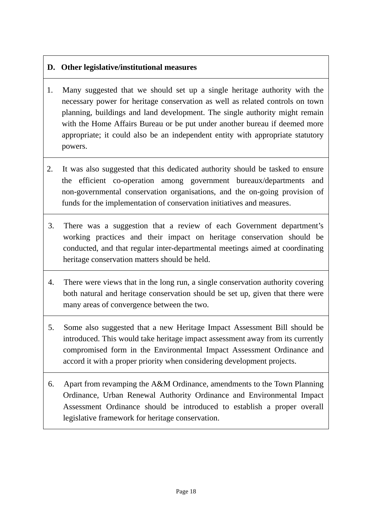# **D. Other legislative/institutional measures**

- 1. Many suggested that we should set up a single heritage authority with the necessary power for heritage conservation as well as related controls on town planning, buildings and land development. The single authority might remain with the Home Affairs Bureau or be put under another bureau if deemed more appropriate; it could also be an independent entity with appropriate statutory powers.
- 2. It was also suggested that this dedicated authority should be tasked to ensure the efficient co-operation among government bureaux/departments and non-governmental conservation organisations, and the on-going provision of funds for the implementation of conservation initiatives and measures.
- 3. There was a suggestion that a review of each Government department's working practices and their impact on heritage conservation should be conducted, and that regular inter-departmental meetings aimed at coordinating heritage conservation matters should be held.
- 4. There were views that in the long run, a single conservation authority covering both natural and heritage conservation should be set up, given that there were many areas of convergence between the two.
- 5. Some also suggested that a new Heritage Impact Assessment Bill should be introduced. This would take heritage impact assessment away from its currently compromised form in the Environmental Impact Assessment Ordinance and accord it with a proper priority when considering development projects.
- 6. Apart from revamping the A&M Ordinance, amendments to the Town Planning Ordinance, Urban Renewal Authority Ordinance and Environmental Impact Assessment Ordinance should be introduced to establish a proper overall legislative framework for heritage conservation.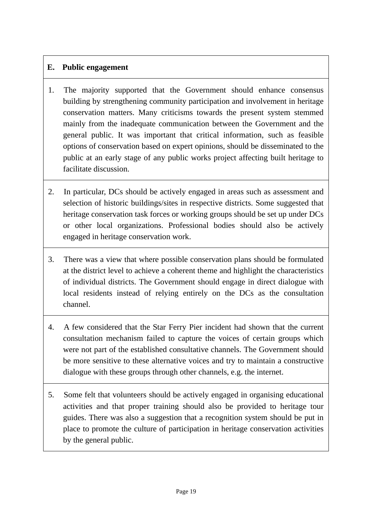## **E. Public engagement**

- 1. The majority supported that the Government should enhance consensus building by strengthening community participation and involvement in heritage conservation matters. Many criticisms towards the present system stemmed mainly from the inadequate communication between the Government and the general public. It was important that critical information, such as feasible options of conservation based on expert opinions, should be disseminated to the public at an early stage of any public works project affecting built heritage to facilitate discussion.
- 2. In particular, DCs should be actively engaged in areas such as assessment and selection of historic buildings/sites in respective districts. Some suggested that heritage conservation task forces or working groups should be set up under DCs or other local organizations. Professional bodies should also be actively engaged in heritage conservation work.
- 3. There was a view that where possible conservation plans should be formulated at the district level to achieve a coherent theme and highlight the characteristics of individual districts. The Government should engage in direct dialogue with local residents instead of relying entirely on the DCs as the consultation channel.
- 4. A few considered that the Star Ferry Pier incident had shown that the current consultation mechanism failed to capture the voices of certain groups which were not part of the established consultative channels. The Government should be more sensitive to these alternative voices and try to maintain a constructive dialogue with these groups through other channels, e.g. the internet.
- 5. Some felt that volunteers should be actively engaged in organising educational activities and that proper training should also be provided to heritage tour guides. There was also a suggestion that a recognition system should be put in place to promote the culture of participation in heritage conservation activities by the general public.